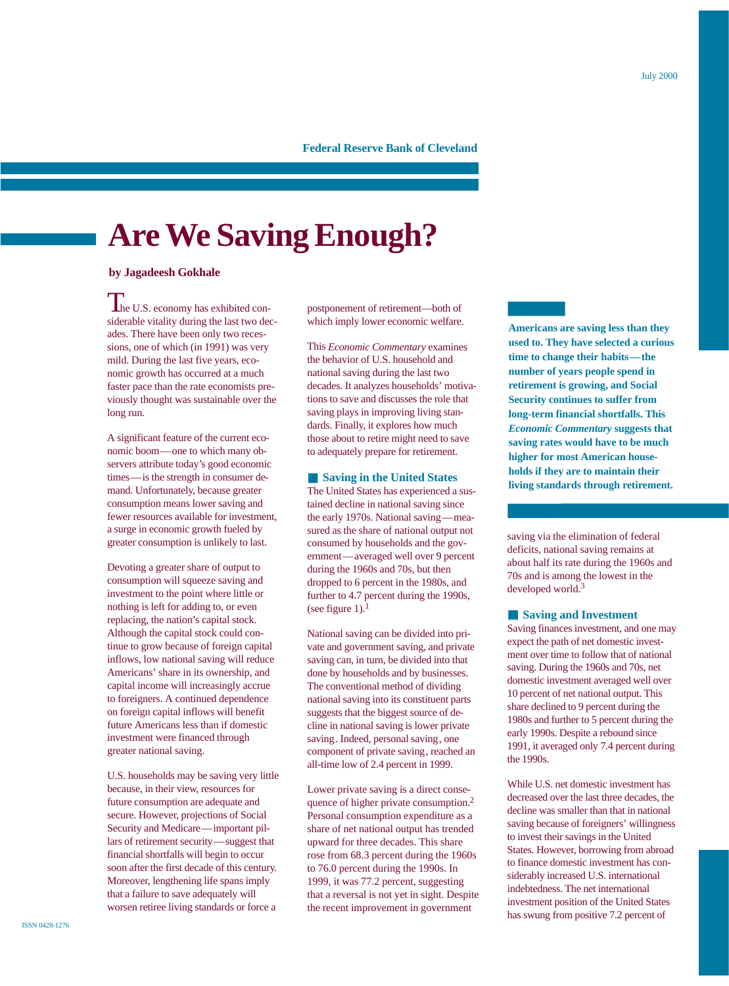# **Federal Reserve Bank of Cleveland**

# **Are We Saving Enough?**

# **by Jagadeesh Gokhale**

The U.S. economy has exhibited considerable vitality during the last two decades. There have been only two recessions, one of which (in 1991) was very mild. During the last five years, economic growth has occurred at a much faster pace than the rate economists previously thought was sustainable over the long run.

A significant feature of the current economic boom—one to which many observers attribute today's good economic times—is the strength in consumer demand. Unfortunately, because greater consumption means lower saving and fewer resources available for investment, a surge in economic growth fueled by greater consumption is unlikely to last.

Devoting a greater share of output to consumption will squeeze saving and investment to the point where little or nothing is left for adding to, or even replacing, the nation's capital stock. Although the capital stock could continue to grow because of foreign capital inflows, low national saving will reduce Americans' share in its ownership, and capital income will increasingly accrue to foreigners. A continued dependence on foreign capital inflows will benefit future Americans less than if domestic investment were financed through greater national saving.

U.S. households may be saving very little because, in their view, resources for future consumption are adequate and secure. However, projections of Social Security and Medicare—important pillars of retirement security—suggest that financial shortfalls will begin to occur soon after the first decade of this century. Moreover, lengthening life spans imply that a failure to save adequately will worsen retiree living standards or force a

postponement of retirement—both of which imply lower economic welfare.

This *Economic Commentary* examines the behavior of U.S. household and national saving during the last two decades. It analyzes households' motivations to save and discusses the role that saving plays in improving living standards. Finally, it explores how much those about to retire might need to save to adequately prepare for retirement.

# ■ **Saving in the United States**

The United States has experienced a sustained decline in national saving since the early 1970s. National saving—measured as the share of national output not consumed by households and the government—averaged well over 9 percent during the 1960s and 70s, but then dropped to 6 percent in the 1980s, and further to 4.7 percent during the 1990s, (see figure 1). $<sup>1</sup>$ </sup>

National saving can be divided into private and government saving, and private saving can, in turn, be divided into that done by households and by businesses. The conventional method of dividing national saving into its constituent parts suggests that the biggest source of decline in national saving is lower private saving. Indeed, personal saving, one component of private saving, reached an all-time low of 2.4 percent in 1999.

Lower private saving is a direct consequence of higher private consumption.2 Personal consumption expenditure as a share of net national output has trended upward for three decades. This share rose from 68.3 percent during the 1960s to 76.0 percent during the 1990s. In 1999, it was 77.2 percent, suggesting that a reversal is not yet in sight. Despite the recent improvement in government

**Americans are saving less than they used to. They have selected a curious time to change their habits—the number of years people spend in retirement is growing, and Social Security continues to suffer from long-term financial shortfalls. This** *Economic Commentary* **suggests that saving rates would have to be much higher for most American households if they are to maintain their living standards through retirement.**

saving via the elimination of federal deficits, national saving remains at about half its rate during the 1960s and 70s and is among the lowest in the developed world.<sup>3</sup>

■ **Saving and Investment** Saving finances investment, and one may expect the path of net domestic investment over time to follow that of national saving. During the 1960s and 70s, net domestic investment averaged well over 10 percent of net national output. This share declined to 9 percent during the 1980s and further to 5 percent during the early 1990s. Despite a rebound since 1991, it averaged only 7.4 percent during the 1990s.

While U.S. net domestic investment has decreased over the last three decades, the decline was smaller than that in national saving because of foreigners' willingness to invest their savings in the United States. However, borrowing from abroad to finance domestic investment has considerably increased U.S. international indebtedness. The net international investment position of the United States has swung from positive 7.2 percent of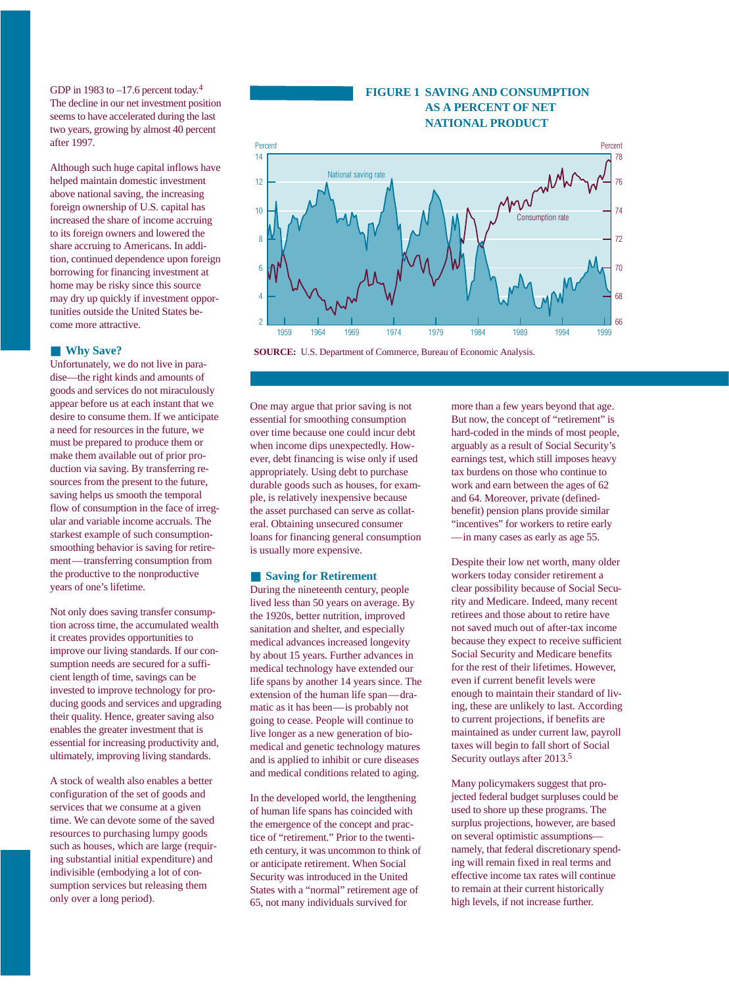GDP in 1983 to  $-17.6$  percent today.<sup>4</sup> The decline in our net investment position seems to have accelerated during the last two years, growing by almost 40 percent after 1997.

Although such huge capital inflows have helped maintain domestic investment above national saving, the increasing foreign ownership of U.S. capital has increased the share of income accruing to its foreign owners and lowered the share accruing to Americans. In addition, continued dependence upon foreign borrowing for financing investment at home may be risky since this source may dry up quickly if investment opportunities outside the United States become more attractive.

### ■ **Why Save?**

Unfortunately, we do not live in paradise—the right kinds and amounts of goods and services do not miraculously appear before us at each instant that we desire to consume them. If we anticipate a need for resources in the future, we must be prepared to produce them or make them available out of prior production via saving. By transferring resources from the present to the future, saving helps us smooth the temporal flow of consumption in the face of irregular and variable income accruals. The starkest example of such consumptionsmoothing behavior is saving for retirement—transferring consumption from the productive to the nonproductive years of one's lifetime.

Not only does saving transfer consumption across time, the accumulated wealth it creates provides opportunities to improve our living standards. If our consumption needs are secured for a sufficient length of time, savings can be invested to improve technology for producing goods and services and upgrading their quality. Hence, greater saving also enables the greater investment that is essential for increasing productivity and, ultimately, improving living standards.

A stock of wealth also enables a better configuration of the set of goods and services that we consume at a given time. We can devote some of the saved resources to purchasing lumpy goods such as houses, which are large (requiring substantial initial expenditure) and indivisible (embodying a lot of consumption services but releasing them only over a long period).



1959 1964 1969 1974 1979 1984 1989 1994 1999

**FIGURE 1 SAVING AND CONSUMPTION** 



One may argue that prior saving is not essential for smoothing consumption over time because one could incur debt when income dips unexpectedly. However, debt financing is wise only if used appropriately. Using debt to purchase durable goods such as houses, for example, is relatively inexpensive because the asset purchased can serve as collateral. Obtaining unsecured consumer loans for financing general consumption is usually more expensive.

### ■ **Saving for Retirement**

 $\overline{2}$ 

During the nineteenth century, people lived less than 50 years on average. By the 1920s, better nutrition, improved sanitation and shelter, and especially medical advances increased longevity by about 15 years. Further advances in medical technology have extended our life spans by another 14 years since. The extension of the human life span—dramatic as it has been—is probably not going to cease. People will continue to live longer as a new generation of biomedical and genetic technology matures and is applied to inhibit or cure diseases and medical conditions related to aging.

In the developed world, the lengthening of human life spans has coincided with the emergence of the concept and practice of "retirement." Prior to the twentieth century, it was uncommon to think of or anticipate retirement. When Social Security was introduced in the United States with a "normal" retirement age of 65, not many individuals survived for

more than a few years beyond that age. But now, the concept of "retirement" is hard-coded in the minds of most people, arguably as a result of Social Security's earnings test, which still imposes heavy tax burdens on those who continue to work and earn between the ages of 62 and 64. Moreover, private (definedbenefit) pension plans provide similar "incentives" for workers to retire early —in many cases as early as age 55.

66

Despite their low net worth, many older workers today consider retirement a clear possibility because of Social Security and Medicare. Indeed, many recent retirees and those about to retire have not saved much out of after-tax income because they expect to receive sufficient Social Security and Medicare benefits for the rest of their lifetimes. However, even if current benefit levels were enough to maintain their standard of living, these are unlikely to last. According to current projections, if benefits are maintained as under current law, payroll taxes will begin to fall short of Social Security outlays after 2013.<sup>5</sup>

Many policymakers suggest that projected federal budget surpluses could be used to shore up these programs. The surplus projections, however, are based on several optimistic assumptions namely, that federal discretionary spending will remain fixed in real terms and effective income tax rates will continue to remain at their current historically high levels, if not increase further.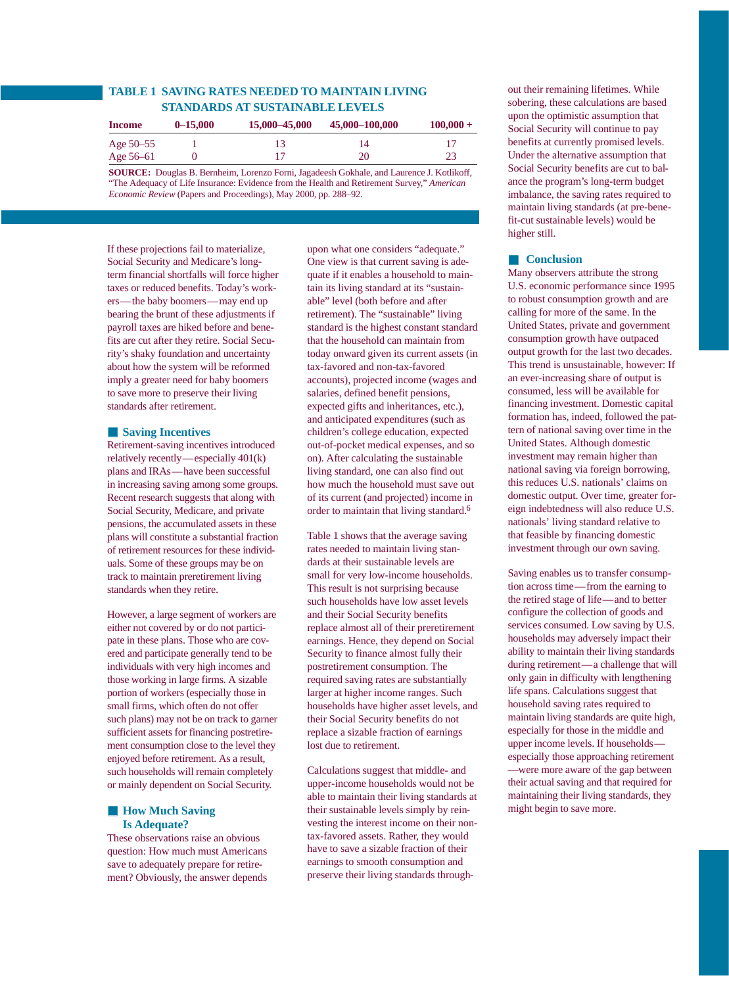# **TABLE 1 SAVING RATES NEEDED TO MAINTAIN LIVING STANDARDS AT SUSTAINABLE LEVELS**

| <b>Income</b> | $0 - 15,000$ | 15,000 - 45,000 | 45,000–100,000 | $100,000 +$ |
|---------------|--------------|-----------------|----------------|-------------|
| Age $50 - 55$ |              |                 | 14             |             |
| Age $56 - 61$ |              |                 | 20             | 23          |
|               |              |                 |                |             |

**SOURCE:** Douglas B. Bernheim, Lorenzo Forni, Jagadeesh Gokhale, and Laurence J. Kotlikoff, "The Adequacy of Life Insurance: Evidence from the Health and Retirement Survey," *American Economic Review* (Papers and Proceedings), May 2000, pp. 288–92.

If these projections fail to materialize, Social Security and Medicare's longterm financial shortfalls will force higher taxes or reduced benefits. Today's workers—the baby boomers—may end up bearing the brunt of these adjustments if payroll taxes are hiked before and benefits are cut after they retire. Social Security's shaky foundation and uncertainty about how the system will be reformed imply a greater need for baby boomers to save more to preserve their living standards after retirement.

# ■ **Saving Incentives**

Retirement-saving incentives introduced relatively recently—especially 401(k) plans and IRAs—have been successful in increasing saving among some groups. Recent research suggests that along with Social Security, Medicare, and private pensions, the accumulated assets in these plans will constitute a substantial fraction of retirement resources for these individuals. Some of these groups may be on track to maintain preretirement living standards when they retire.

However, a large segment of workers are either not covered by or do not participate in these plans. Those who are covered and participate generally tend to be individuals with very high incomes and those working in large firms. A sizable portion of workers (especially those in small firms, which often do not offer such plans) may not be on track to garner sufficient assets for financing postretirement consumption close to the level they enjoyed before retirement. As a result, such households will remain completely or mainly dependent on Social Security.

# ■ **How Much Saving Is Adequate?**

These observations raise an obvious question: How much must Americans save to adequately prepare for retirement? Obviously, the answer depends

upon what one considers "adequate." One view is that current saving is adequate if it enables a household to maintain its living standard at its "sustainable" level (both before and after retirement). The "sustainable" living standard is the highest constant standard that the household can maintain from today onward given its current assets (in tax-favored and non-tax-favored accounts), projected income (wages and salaries, defined benefit pensions, expected gifts and inheritances, etc.), and anticipated expenditures (such as children's college education, expected out-of-pocket medical expenses, and so on). After calculating the sustainable living standard, one can also find out how much the household must save out of its current (and projected) income in order to maintain that living standard.6

Table 1 shows that the average saving rates needed to maintain living standards at their sustainable levels are small for very low-income households. This result is not surprising because such households have low asset levels and their Social Security benefits replace almost all of their preretirement earnings. Hence, they depend on Social Security to finance almost fully their postretirement consumption. The required saving rates are substantially larger at higher income ranges. Such households have higher asset levels, and their Social Security benefits do not replace a sizable fraction of earnings lost due to retirement.

Calculations suggest that middle- and upper-income households would not be able to maintain their living standards at their sustainable levels simply by reinvesting the interest income on their nontax-favored assets. Rather, they would have to save a sizable fraction of their earnings to smooth consumption and preserve their living standards throughout their remaining lifetimes. While sobering, these calculations are based upon the optimistic assumption that Social Security will continue to pay benefits at currently promised levels. Under the alternative assumption that Social Security benefits are cut to balance the program's long-term budget imbalance, the saving rates required to maintain living standards (at pre-benefit-cut sustainable levels) would be higher still.

# ■ **Conclusion**

Many observers attribute the strong U.S. economic performance since 1995 to robust consumption growth and are calling for more of the same. In the United States, private and government consumption growth have outpaced output growth for the last two decades. This trend is unsustainable, however: If an ever-increasing share of output is consumed, less will be available for financing investment. Domestic capital formation has, indeed, followed the pattern of national saving over time in the United States. Although domestic investment may remain higher than national saving via foreign borrowing, this reduces U.S. nationals' claims on domestic output. Over time, greater foreign indebtedness will also reduce U.S. nationals' living standard relative to that feasible by financing domestic investment through our own saving.

Saving enables us to transfer consumption across time—from the earning to the retired stage of life—and to better configure the collection of goods and services consumed. Low saving by U.S. households may adversely impact their ability to maintain their living standards during retirement—a challenge that will only gain in difficulty with lengthening life spans. Calculations suggest that household saving rates required to maintain living standards are quite high, especially for those in the middle and upper income levels. If households especially those approaching retirement —were more aware of the gap between their actual saving and that required for maintaining their living standards, they might begin to save more.